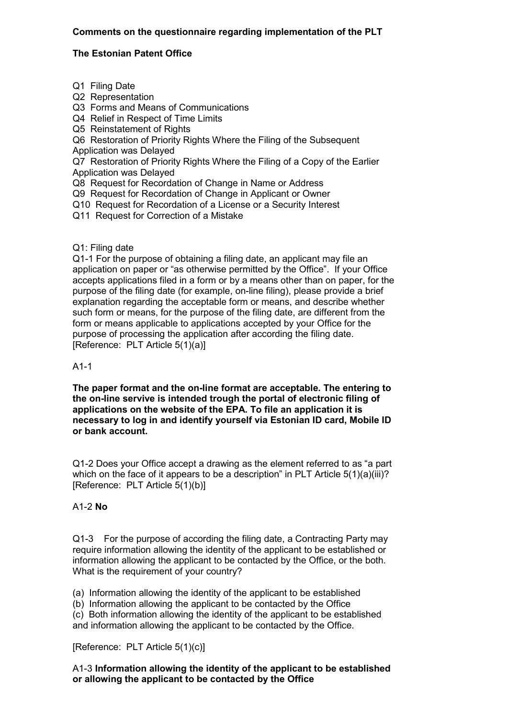## **Comments on the questionnaire regarding implementation of the PLT**

## **The Estonian Patent Office**

- Q1 Filing Date
- Q2 Representation
- Q3 Forms and Means of Communications
- Q4 Relief in Respect of Time Limits
- Q5 Reinstatement of Rights

Q6 Restoration of Priority Rights Where the Filing of the Subsequent

Application was Delayed

Q7 Restoration of Priority Rights Where the Filing of a Copy of the Earlier Application was Delayed

Q8 Request for Recordation of Change in Name or Address

Q9 Request for Recordation of Change in Applicant or Owner

Q10 Request for Recordation of a License or a Security Interest

Q11 Request for Correction of a Mistake

## Q1: Filing date

Q1-1 For the purpose of obtaining a filing date, an applicant may file an application on paper or "as otherwise permitted by the Office". If your Office accepts applications filed in a form or by a means other than on paper, for the purpose of the filing date (for example, on-line filing), please provide a brief explanation regarding the acceptable form or means, and describe whether such form or means, for the purpose of the filing date, are different from the form or means applicable to applications accepted by your Office for the purpose of processing the application after according the filing date. [Reference: PLT Article 5(1)(a)]

### A1-1

**The paper format and the on-line format are acceptable. The entering to the on-line servive is intended trough the portal of electronic filing of applications on the website of the EPA. To file an application it is necessary to log in and identify yourself via Estonian ID card, Mobile ID or bank account.**

Q1-2 Does your Office accept a drawing as the element referred to as "a part which on the face of it appears to be a description" in PLT Article  $5(1)(a)(iii)$ ? [Reference: PLT Article 5(1)(b)]

# A1-2 **No**

Q1-3 For the purpose of according the filing date, a Contracting Party may require information allowing the identity of the applicant to be established or information allowing the applicant to be contacted by the Office, or the both. What is the requirement of your country?

(a) Information allowing the identity of the applicant to be established

(b) Information allowing the applicant to be contacted by the Office

(c) Both information allowing the identity of the applicant to be established and information allowing the applicant to be contacted by the Office.

[Reference: PLT Article 5(1)(c)]

## A1-3 **Information allowing the identity of the applicant to be established or allowing the applicant to be contacted by the Office**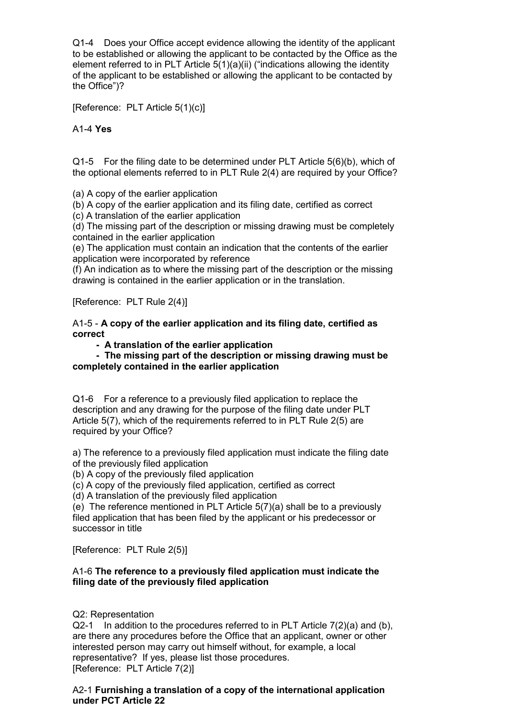Q1-4 Does your Office accept evidence allowing the identity of the applicant to be established or allowing the applicant to be contacted by the Office as the element referred to in PLT Article 5(1)(a)(ii) ("indications allowing the identity of the applicant to be established or allowing the applicant to be contacted by the Office")?

[Reference: PLT Article 5(1)(c)]

A1-4 **Yes**

Q1-5 For the filing date to be determined under PLT Article 5(6)(b), which of the optional elements referred to in PLT Rule 2(4) are required by your Office?

(a) A copy of the earlier application

(b) A copy of the earlier application and its filing date, certified as correct

(c) A translation of the earlier application

(d) The missing part of the description or missing drawing must be completely contained in the earlier application

(e) The application must contain an indication that the contents of the earlier application were incorporated by reference

(f) An indication as to where the missing part of the description or the missing drawing is contained in the earlier application or in the translation.

[Reference: PLT Rule 2(4)]

A1-5 - **A copy of the earlier application and its filing date, certified as correct**

 **- A translation of the earlier application**

 **- The missing part of the description or missing drawing must be completely contained in the earlier application**

Q1-6 For a reference to a previously filed application to replace the description and any drawing for the purpose of the filing date under PLT Article 5(7), which of the requirements referred to in PLT Rule 2(5) are required by your Office?

a) The reference to a previously filed application must indicate the filing date of the previously filed application

(b) A copy of the previously filed application

(c) A copy of the previously filed application, certified as correct

(d) A translation of the previously filed application

(e) The reference mentioned in PLT Article 5(7)(a) shall be to a previously filed application that has been filed by the applicant or his predecessor or successor in title

[Reference: PLT Rule 2(5)]

## A1-6 **The reference to a previously filed application must indicate the filing date of the previously filed application**

Q2: Representation

 $Q2-1$  In addition to the procedures referred to in PLT Article  $7(2)(a)$  and (b), are there any procedures before the Office that an applicant, owner or other interested person may carry out himself without, for example, a local representative? If yes, please list those procedures. [Reference: PLT Article 7(2)]

### A2-1 **Furnishing a translation of a copy of the international application under PCT Article 22**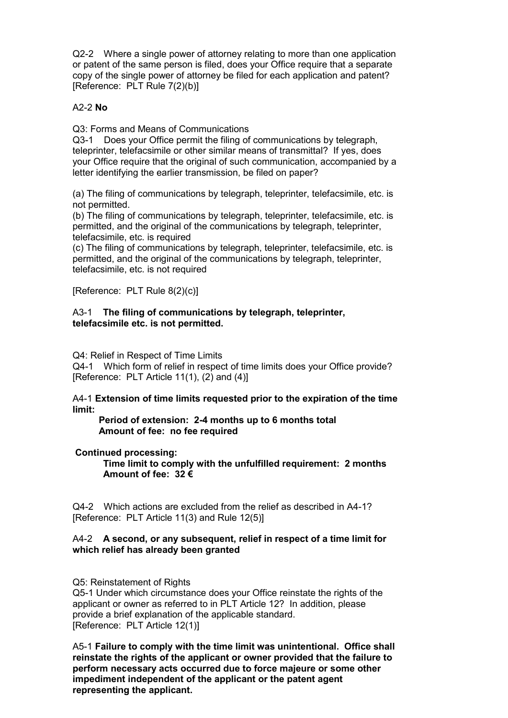Q2-2 Where a single power of attorney relating to more than one application or patent of the same person is filed, does your Office require that a separate copy of the single power of attorney be filed for each application and patent? [Reference: PLT Rule 7(2)(b)]

## A2-2 **No**

Q3: Forms and Means of Communications

Q3-1 Does your Office permit the filing of communications by telegraph, teleprinter, telefacsimile or other similar means of transmittal? If yes, does your Office require that the original of such communication, accompanied by a letter identifying the earlier transmission, be filed on paper?

(a) The filing of communications by telegraph, teleprinter, telefacsimile, etc. is not permitted.

(b) The filing of communications by telegraph, teleprinter, telefacsimile, etc. is permitted, and the original of the communications by telegraph, teleprinter, telefacsimile, etc. is required

(c) The filing of communications by telegraph, teleprinter, telefacsimile, etc. is permitted, and the original of the communications by telegraph, teleprinter, telefacsimile, etc. is not required

[Reference: PLT Rule 8(2)(c)]

#### A3-1 **The filing of communications by telegraph, teleprinter, telefacsimile etc. is not permitted.**

Q4: Relief in Respect of Time Limits

Q4-1 Which form of relief in respect of time limits does your Office provide? [Reference: PLT Article 11(1), (2) and (4)]

A4-1 **Extension of time limits requested prior to the expiration of the time limit:**

 **Period of extension: 2-4 months up to 6 months total Amount of fee: no fee required**

### **Continued processing:**

**Time limit to comply with the unfulfilled requirement: 2 months Amount of fee: 32 €**

Q4-2 Which actions are excluded from the relief as described in A4-1? [Reference: PLT Article 11(3) and Rule 12(5)]

#### A4-2 **A second, or any subsequent, relief in respect of a time limit for which relief has already been granted**

Q5: Reinstatement of Rights

Q5-1 Under which circumstance does your Office reinstate the rights of the applicant or owner as referred to in PLT Article 12? In addition, please provide a brief explanation of the applicable standard. [Reference: PLT Article 12(1)]

A5-1 **Failure to comply with the time limit was unintentional. Office shall reinstate the rights of the applicant or owner provided that the failure to perform necessary acts occurred due to force majeure or some other impediment independent of the applicant or the patent agent representing the applicant.**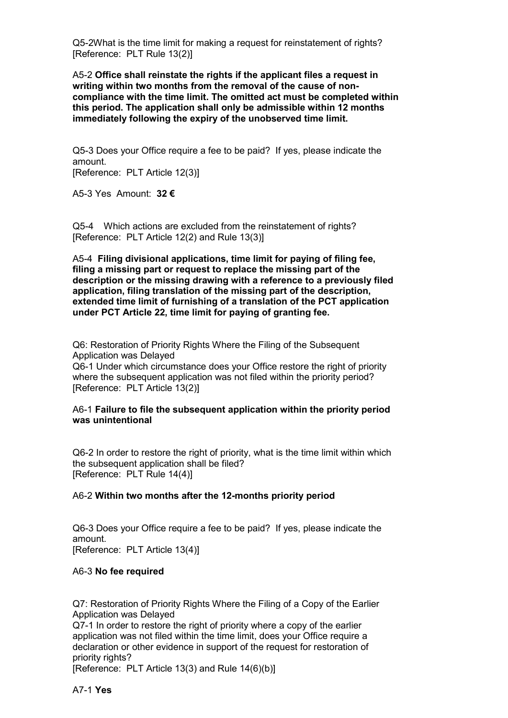Q5-2What is the time limit for making a request for reinstatement of rights? [Reference: PLT Rule 13(2)]

A5-2 **Office shall reinstate the rights if the applicant files a request in writing within two months from the removal of the cause of noncompliance with the time limit. The omitted act must be completed within this period. The application shall only be admissible within 12 months immediately following the expiry of the unobserved time limit.** 

Q5-3 Does your Office require a fee to be paid? If yes, please indicate the amount. [Reference: PLT Article 12(3)]

A5-3 Yes Amount: **32 €**

Q5-4 Which actions are excluded from the reinstatement of rights? [Reference: PLT Article 12(2) and Rule 13(3)]

A5-4 **Filing divisional applications, time limit for paying of filing fee, filing a missing part or request to replace the missing part of the description or the missing drawing with a reference to a previously filed application, filing translation of the missing part of the description, extended time limit of furnishing of a translation of the PCT application under PCT Article 22, time limit for paying of granting fee.**

Q6: Restoration of Priority Rights Where the Filing of the Subsequent Application was Delayed Q6-1 Under which circumstance does your Office restore the right of priority where the subsequent application was not filed within the priority period?

[Reference: PLT Article 13(2)]

### A6-1 **Failure to file the subsequent application within the priority period was unintentional**

Q6-2 In order to restore the right of priority, what is the time limit within which the subsequent application shall be filed? [Reference: PLT Rule 14(4)]

### A6-2 **Within two months after the 12-months priority period**

Q6-3 Does your Office require a fee to be paid? If yes, please indicate the amount. [Reference: PLT Article 13(4)]

### A6-3 **No fee required**

Q7: Restoration of Priority Rights Where the Filing of a Copy of the Earlier Application was Delayed

Q7-1 In order to restore the right of priority where a copy of the earlier application was not filed within the time limit, does your Office require a declaration or other evidence in support of the request for restoration of priority rights?

[Reference: PLT Article 13(3) and Rule 14(6)(b)]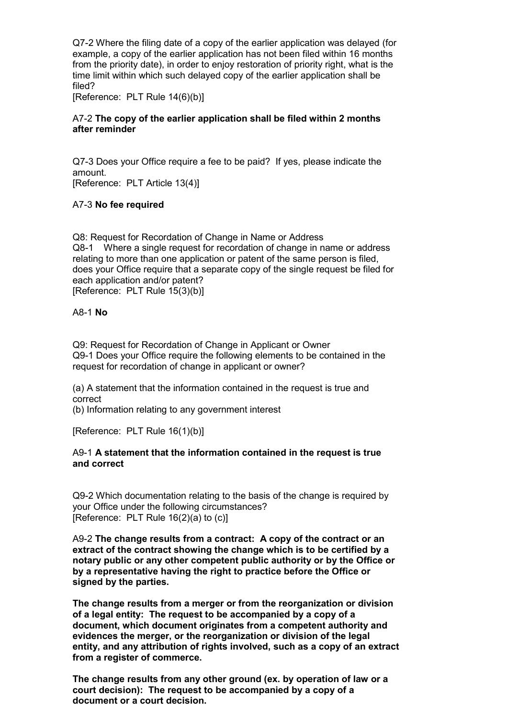Q7-2 Where the filing date of a copy of the earlier application was delayed (for example, a copy of the earlier application has not been filed within 16 months from the priority date), in order to enjoy restoration of priority right, what is the time limit within which such delayed copy of the earlier application shall be filed?

[Reference: PLT Rule 14(6)(b)]

### A7-2 **The copy of the earlier application shall be filed within 2 months after reminder**

Q7-3 Does your Office require a fee to be paid? If yes, please indicate the amount.

[Reference: PLT Article 13(4)]

# A7-3 **No fee required**

Q8: Request for Recordation of Change in Name or Address Q8-1 Where a single request for recordation of change in name or address relating to more than one application or patent of the same person is filed, does your Office require that a separate copy of the single request be filed for each application and/or patent? [Reference: PLT Rule 15(3)(b)]

A8-1 **No**

Q9: Request for Recordation of Change in Applicant or Owner Q9-1 Does your Office require the following elements to be contained in the request for recordation of change in applicant or owner?

(a) A statement that the information contained in the request is true and correct

(b) Information relating to any government interest

[Reference: PLT Rule 16(1)(b)]

### A9-1 **A statement that the information contained in the request is true and correct**

Q9-2 Which documentation relating to the basis of the change is required by your Office under the following circumstances? [Reference: PLT Rule 16(2)(a) to (c)]

A9-2 **The change results from a contract: A copy of the contract or an extract of the contract showing the change which is to be certified by a notary public or any other competent public authority or by the Office or by a representative having the right to practice before the Office or signed by the parties.** 

**The change results from a merger or from the reorganization or division of a legal entity: The request to be accompanied by a copy of a document, which document originates from a competent authority and evidences the merger, or the reorganization or division of the legal entity, and any attribution of rights involved, such as a copy of an extract from a register of commerce.** 

**The change results from any other ground (ex. by operation of law or a court decision): The request to be accompanied by a copy of a document or a court decision.**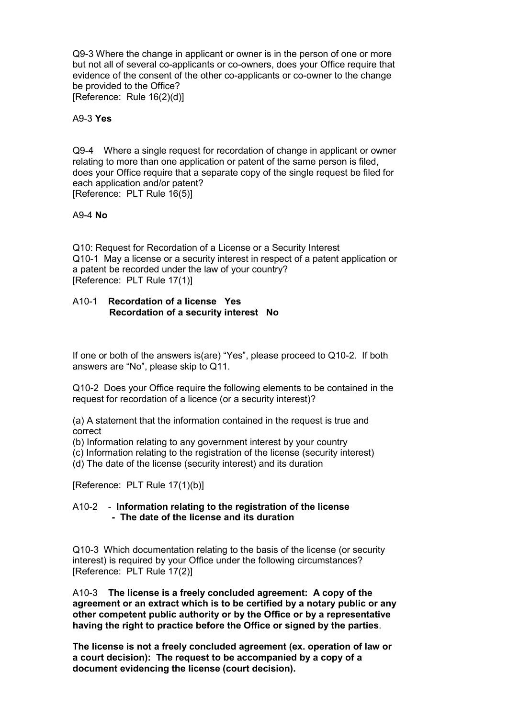Q9-3 Where the change in applicant or owner is in the person of one or more but not all of several co-applicants or co-owners, does your Office require that evidence of the consent of the other co-applicants or co-owner to the change be provided to the Office? [Reference: Rule 16(2)(d)]

A9-3 **Yes**

Q9-4 Where a single request for recordation of change in applicant or owner relating to more than one application or patent of the same person is filed, does your Office require that a separate copy of the single request be filed for each application and/or patent? [Reference: PLT Rule 16(5)]

#### A9-4 **No**

Q10: Request for Recordation of a License or a Security Interest Q10-1 May a license or a security interest in respect of a patent application or a patent be recorded under the law of your country? [Reference: PLT Rule 17(1)]

#### A10-1 **Recordation of a license Yes Recordation of a security interest No**

If one or both of the answers is(are) "Yes", please proceed to Q10-2. If both answers are "No", please skip to Q11.

Q10-2 Does your Office require the following elements to be contained in the request for recordation of a licence (or a security interest)?

(a) A statement that the information contained in the request is true and correct

(b) Information relating to any government interest by your country

(c) Information relating to the registration of the license (security interest)

(d) The date of the license (security interest) and its duration

[Reference: PLT Rule 17(1)(b)]

### A10-2 - **Information relating to the registration of the license - The date of the license and its duration**

Q10-3 Which documentation relating to the basis of the license (or security interest) is required by your Office under the following circumstances? [Reference: PLT Rule 17(2)]

A10-3 **The license is a freely concluded agreement: A copy of the agreement or an extract which is to be certified by a notary public or any other competent public authority or by the Office or by a representative having the right to practice before the Office or signed by the parties**.

**The license is not a freely concluded agreement (ex. operation of law or a court decision): The request to be accompanied by a copy of a document evidencing the license (court decision).**